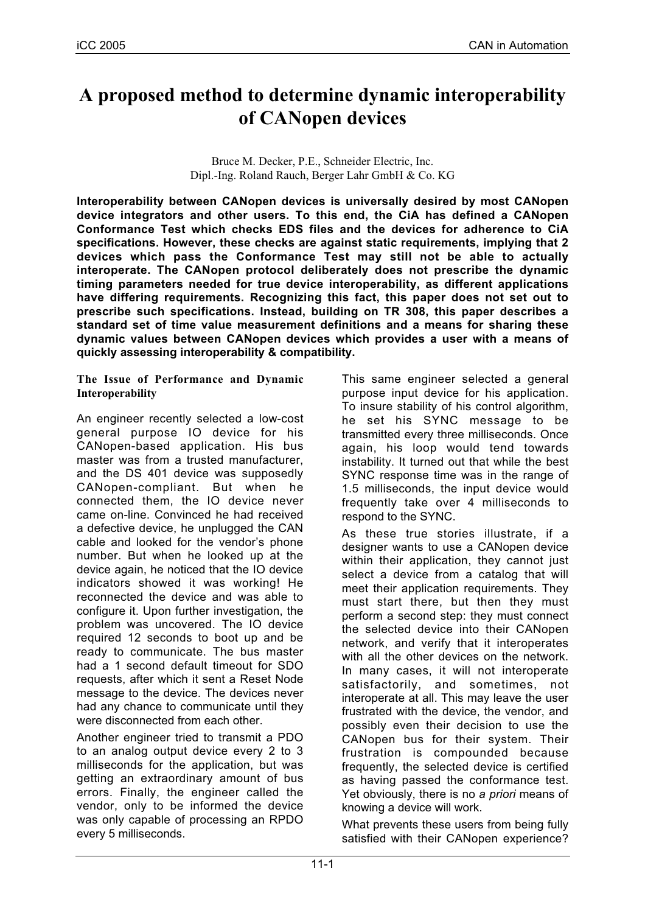# **A proposed method to determine dynamic interoperability of CANopen devices**

Bruce M. Decker, P.E., Schneider Electric, Inc. Dipl.-Ing. Roland Rauch, Berger Lahr GmbH & Co. KG

**Interoperability between CANopen devices is universally desired by most CANopen device integrators and other users. To this end, the CiA has defined a CANopen Conformance Test which checks EDS files and the devices for adherence to CiA specifications. However, these checks are against static requirements, implying that 2 devices which pass the Conformance Test may still not be able to actually interoperate. The CANopen protocol deliberately does not prescribe the dynamic timing parameters needed for true device interoperability, as different applications have differing requirements. Recognizing this fact, this paper does not set out to prescribe such specifications. Instead, building on TR 308, this paper describes a standard set of time value measurement definitions and a means for sharing these dynamic values between CANopen devices which provides a user with a means of quickly assessing interoperability & compatibility.**

### **The Issue of Performance and Dynamic Interoperability**

An engineer recently selected a low-cost general purpose IO device for his CANopen-based application. His bus master was from a trusted manufacturer, and the DS 401 device was supposedly CANopen-compliant. But when he connected them, the IO device never came on-line. Convinced he had received a defective device, he unplugged the CAN cable and looked for the vendor's phone number. But when he looked up at the device again, he noticed that the IO device indicators showed it was working! He reconnected the device and was able to configure it. Upon further investigation, the problem was uncovered. The IO device required 12 seconds to boot up and be ready to communicate. The bus master had a 1 second default timeout for SDO requests, after which it sent a Reset Node message to the device. The devices never had any chance to communicate until they were disconnected from each other.

Another engineer tried to transmit a PDO to an analog output device every 2 to 3 milliseconds for the application, but was getting an extraordinary amount of bus errors. Finally, the engineer called the vendor, only to be informed the device was only capable of processing an RPDO every 5 milliseconds.

This same engineer selected a general purpose input device for his application. To insure stability of his control algorithm, he set his SYNC message to be transmitted every three milliseconds. Once again, his loop would tend towards instability. It turned out that while the best SYNC response time was in the range of 1.5 milliseconds, the input device would frequently take over 4 milliseconds to respond to the SYNC.

As these true stories illustrate, if a designer wants to use a CANopen device within their application, they cannot just select a device from a catalog that will meet their application requirements. They must start there, but then they must perform a second step: they must connect the selected device into their CANopen network, and verify that it interoperates with all the other devices on the network. In many cases, it will not interoperate satisfactorily, and sometimes, not interoperate at all. This may leave the user frustrated with the device, the vendor, and possibly even their decision to use the CANopen bus for their system. Their frustration is compounded because frequently, the selected device is certified as having passed the conformance test. Yet obviously, there is no *a priori* means of knowing a device will work.

What prevents these users from being fully satisfied with their CANopen experience?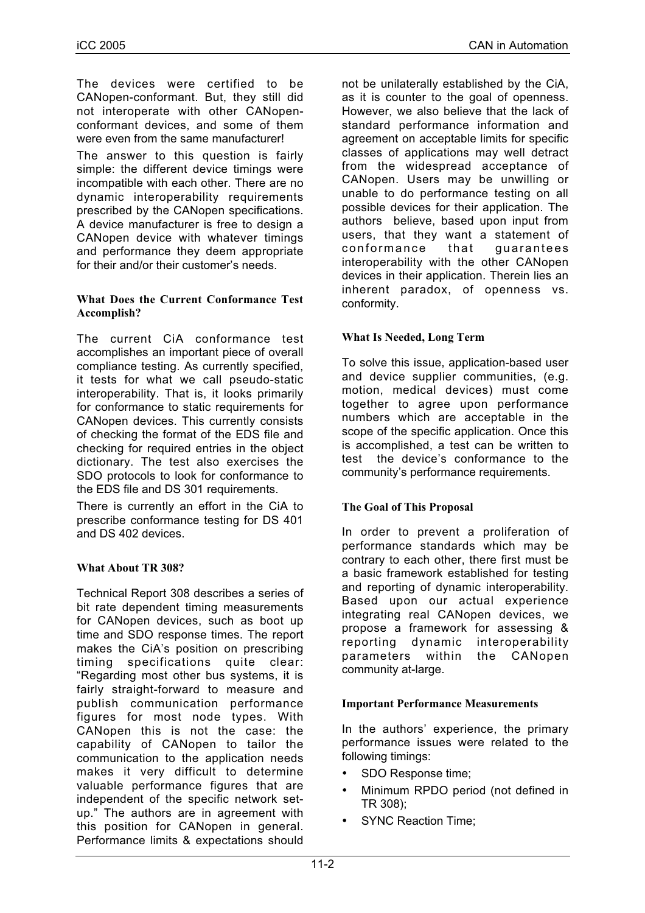The devices were certified to be CANopen-conformant. But, they still did not interoperate with other CANopenconformant devices, and some of them were even from the same manufacturer!

The answer to this question is fairly simple: the different device timings were incompatible with each other. There are no dynamic interoperability requirements prescribed by the CANopen specifications. A device manufacturer is free to design a CANopen device with whatever timings and performance they deem appropriate for their and/or their customer's needs.

### **What Does the Current Conformance Test Accomplish?**

The current CiA conformance test accomplishes an important piece of overall compliance testing. As currently specified, it tests for what we call pseudo-static interoperability. That is, it looks primarily for conformance to static requirements for CANopen devices. This currently consists of checking the format of the EDS file and checking for required entries in the object dictionary. The test also exercises the SDO protocols to look for conformance to the EDS file and DS 301 requirements.

There is currently an effort in the CiA to prescribe conformance testing for DS 401 and DS 402 devices.

### **What About TR 308?**

Technical Report 308 describes a series of bit rate dependent timing measurements for CANopen devices, such as boot up time and SDO response times. The report makes the CiA's position on prescribing timing specifications quite clear: "Regarding most other bus systems, it is fairly straight-forward to measure and publish communication performance figures for most node types. With CANopen this is not the case: the capability of CANopen to tailor the communication to the application needs makes it very difficult to determine valuable performance figures that are independent of the specific network setup." The authors are in agreement with this position for CANopen in general. Performance limits & expectations should

not be unilaterally established by the CiA, as it is counter to the goal of openness. However, we also believe that the lack of standard performance information and agreement on acceptable limits for specific classes of applications may well detract from the widespread acceptance of CANopen. Users may be unwilling or unable to do performance testing on all possible devices for their application. The authors believe, based upon input from users, that they want a statement of conformance that guarantees interoperability with the other CANopen devices in their application. Therein lies an inherent paradox, of openness vs. conformity.

# **What Is Needed, Long Term**

To solve this issue, application-based user and device supplier communities, (e.g. motion, medical devices) must come together to agree upon performance numbers which are acceptable in the scope of the specific application. Once this is accomplished, a test can be written to test the device's conformance to the community's performance requirements.

### **The Goal of This Proposal**

In order to prevent a proliferation of performance standards which may be contrary to each other, there first must be a basic framework established for testing and reporting of dynamic interoperability. Based upon our actual experience integrating real CANopen devices, we propose a framework for assessing & reporting dynamic interoperability parameters within the CANopen community at-large.

### **Important Performance Measurements**

In the authors' experience, the primary performance issues were related to the following timings:

- SDO Response time;
- Minimum RPDO period (not defined in TR 308);
- SYNC Reaction Time;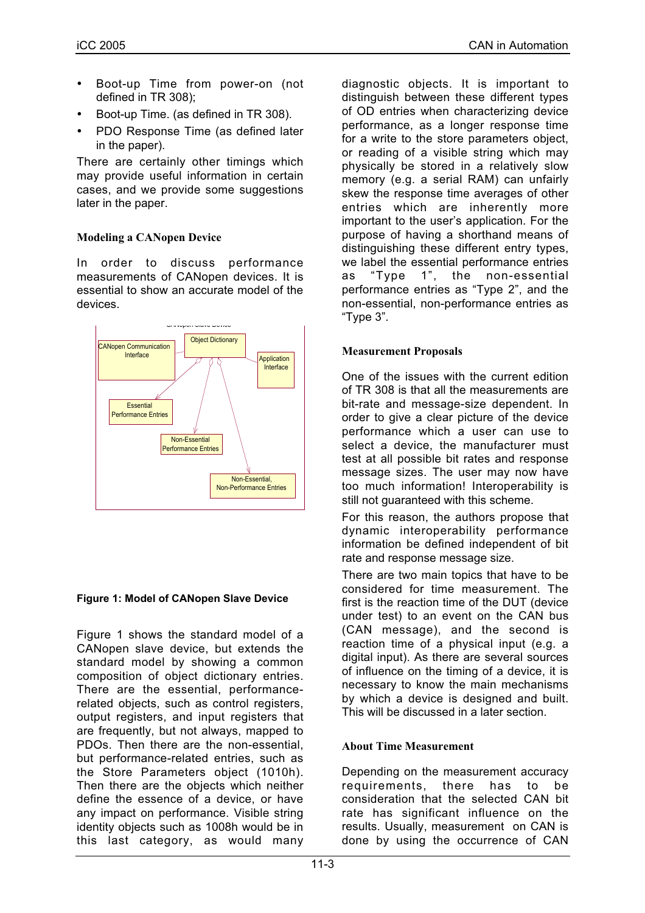- Boot-up Time from power-on (not defined in TR 308);
- Boot-up Time. (as defined in TR 308).
- PDO Response Time (as defined later in the paper).

There are certainly other timings which may provide useful information in certain cases, and we provide some suggestions later in the paper.

# **Modeling a CANopen Device**

In order to discuss performance measurements of CANopen devices. It is essential to show an accurate model of the devices.



### **Figure 1: Model of CANopen Slave Device**

Figure 1 shows the standard model of a CANopen slave device, but extends the standard model by showing a common composition of object dictionary entries. There are the essential, performancerelated objects, such as control registers, output registers, and input registers that are frequently, but not always, mapped to PDOs. Then there are the non-essential, but performance-related entries, such as the Store Parameters object (1010h). Then there are the objects which neither define the essence of a device, or have any impact on performance. Visible string identity objects such as 1008h would be in this last category, as would many

diagnostic objects. It is important to distinguish between these different types of OD entries when characterizing device performance, as a longer response time for a write to the store parameters object, or reading of a visible string which may physically be stored in a relatively slow memory (e.g. a serial RAM) can unfairly skew the response time averages of other entries which are inherently more important to the user's application. For the purpose of having a shorthand means of distinguishing these different entry types, we label the essential performance entries as "Type 1", the non-essential performance entries as "Type 2", and the non-essential, non-performance entries as "Type 3".

# **Measurement Proposals**

One of the issues with the current edition of TR 308 is that all the measurements are bit-rate and message-size dependent. In order to give a clear picture of the device performance which a user can use to select a device, the manufacturer must test at all possible bit rates and response message sizes. The user may now have too much information! Interoperability is still not guaranteed with this scheme.

For this reason, the authors propose that dynamic interoperability performance information be defined independent of bit rate and response message size.

There are two main topics that have to be considered for time measurement. The first is the reaction time of the DUT (device under test) to an event on the CAN bus (CAN message), and the second is reaction time of a physical input (e.g. a digital input). As there are several sources of influence on the timing of a device, it is necessary to know the main mechanisms by which a device is designed and built. This will be discussed in a later section.

### **About Time Measurement**

Depending on the measurement accuracy requirements, there has to be consideration that the selected CAN bit rate has significant influence on the results. Usually, measurement on CAN is done by using the occurrence of CAN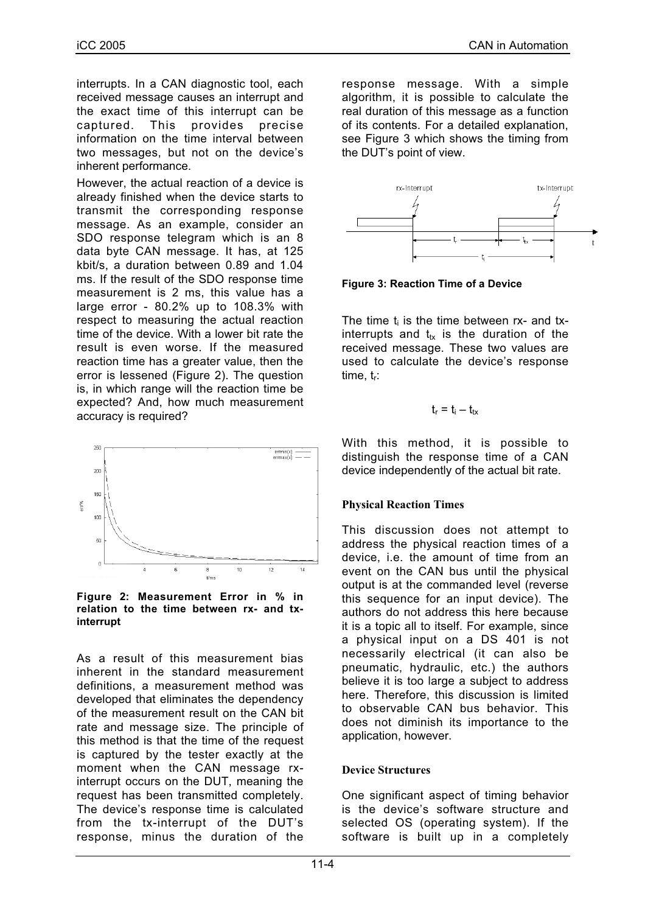interrupts. In a CAN diagnostic tool, each received message causes an interrupt and the exact time of this interrupt can be captured. This provides precise information on the time interval between two messages, but not on the device's inherent performance.

However, the actual reaction of a device is already finished when the device starts to transmit the corresponding response message. As an example, consider an SDO response telegram which is an 8 data byte CAN message. It has, at 125 kbit/s, a duration between 0.89 and 1.04 ms. If the result of the SDO response time measurement is 2 ms, this value has a large error - 80.2% up to 108.3% with respect to measuring the actual reaction time of the device. With a lower bit rate the result is even worse. If the measured reaction time has a greater value, then the error is lessened (Figure 2). The question is, in which range will the reaction time be expected? And, how much measurement accuracy is required?



#### **Figure 2: Measurement Error in % in relation to the time between rx- and txinterrupt**

As a result of this measurement bias inherent in the standard measurement definitions, a measurement method was developed that eliminates the dependency of the measurement result on the CAN bit rate and message size. The principle of this method is that the time of the request is captured by the tester exactly at the moment when the CAN message rxinterrupt occurs on the DUT, meaning the request has been transmitted completely. The device's response time is calculated from the tx-interrupt of the DUT's response, minus the duration of the

response message. With a simple algorithm, it is possible to calculate the real duration of this message as a function of its contents. For a detailed explanation, see Figure 3 which shows the timing from the DUT's point of view.



**Figure 3: Reaction Time of a Device**

The time  $t_i$  is the time between rx- and txinterrupts and  $t_{tx}$  is the duration of the received message. These two values are used to calculate the device's response  $time_{\text{t}}$ :

$$
t_{\text{r}}=t_{\text{i}}-t_{\text{tx}}
$$

With this method, it is possible to distinguish the response time of a CAN device independently of the actual bit rate.

# **Physical Reaction Times**

This discussion does not attempt to address the physical reaction times of a device, i.e. the amount of time from an event on the CAN bus until the physical output is at the commanded level (reverse this sequence for an input device). The authors do not address this here because it is a topic all to itself. For example, since a physical input on a DS 401 is not necessarily electrical (it can also be pneumatic, hydraulic, etc.) the authors believe it is too large a subject to address here. Therefore, this discussion is limited to observable CAN bus behavior. This does not diminish its importance to the application, however.

# **Device Structures**

One significant aspect of timing behavior is the device's software structure and selected OS (operating system). If the software is built up in a completely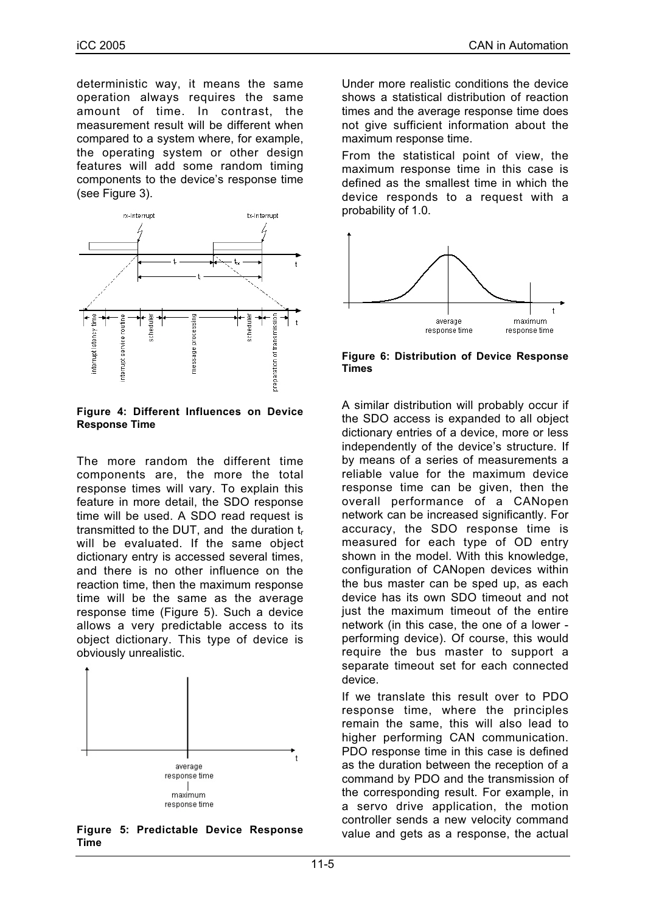deterministic way, it means the same operation always requires the same amount of time. In contrast, the measurement result will be different when compared to a system where, for example, the operating system or other design features will add some random timing components to the device's response time (see Figure 3).



**Figure 4: Different Influences on Device Response Time**

The more random the different time components are, the more the total response times will vary. To explain this feature in more detail, the SDO response time will be used. A SDO read request is transmitted to the DUT, and the duration  $t_r$ will be evaluated. If the same object dictionary entry is accessed several times, and there is no other influence on the reaction time, then the maximum response time will be the same as the average response time (Figure 5). Such a device allows a very predictable access to its object dictionary. This type of device is obviously unrealistic.



**Figure 5: Predictable Device Response Time**

Under more realistic conditions the device shows a statistical distribution of reaction times and the average response time does not give sufficient information about the maximum response time.

From the statistical point of view, the maximum response time in this case is defined as the smallest time in which the device responds to a request with a probability of 1.0.



**Figure 6: Distribution of Device Response Times**

A similar distribution will probably occur if the SDO access is expanded to all object dictionary entries of a device, more or less independently of the device's structure. If by means of a series of measurements a reliable value for the maximum device response time can be given, then the overall performance of a CANopen network can be increased significantly. For accuracy, the SDO response time is measured for each type of OD entry shown in the model. With this knowledge, configuration of CANopen devices within the bus master can be sped up, as each device has its own SDO timeout and not just the maximum timeout of the entire network (in this case, the one of a lower performing device). Of course, this would require the bus master to support a separate timeout set for each connected device.

If we translate this result over to PDO response time, where the principles remain the same, this will also lead to higher performing CAN communication. PDO response time in this case is defined as the duration between the reception of a command by PDO and the transmission of the corresponding result. For example, in a servo drive application, the motion controller sends a new velocity command value and gets as a response, the actual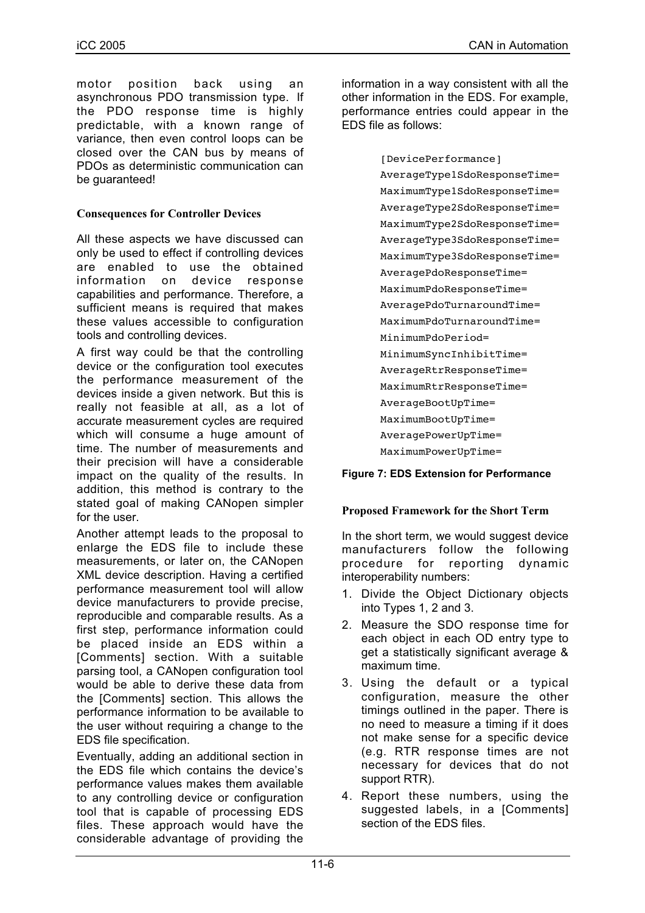motor position back using an asynchronous PDO transmission type. If the PDO response time is highly predictable, with a known range of variance, then even control loops can be closed over the CAN bus by means of PDOs as deterministic communication can be quaranteed!

## **Consequences for Controller Devices**

All these aspects we have discussed can only be used to effect if controlling devices are enabled to use the obtained information on device response capabilities and performance. Therefore, a sufficient means is required that makes these values accessible to configuration tools and controlling devices.

A first way could be that the controlling device or the configuration tool executes the performance measurement of the devices inside a given network. But this is really not feasible at all, as a lot of accurate measurement cycles are required which will consume a huge amount of time. The number of measurements and their precision will have a considerable impact on the quality of the results. In addition, this method is contrary to the stated goal of making CANopen simpler for the user.

Another attempt leads to the proposal to enlarge the EDS file to include these measurements, or later on, the CANopen XML device description. Having a certified performance measurement tool will allow device manufacturers to provide precise, reproducible and comparable results. As a first step, performance information could be placed inside an EDS within a [Comments] section. With a suitable parsing tool, a CANopen configuration tool would be able to derive these data from the [Comments] section. This allows the performance information to be available to the user without requiring a change to the EDS file specification.

Eventually, adding an additional section in the EDS file which contains the device's performance values makes them available to any controlling device or configuration tool that is capable of processing EDS files. These approach would have the considerable advantage of providing the

information in a way consistent with all the other information in the EDS. For example, performance entries could appear in the EDS file as follows:

> [DevicePerformance] AverageType1SdoResponseTime= MaximumType1SdoResponseTime= AverageType2SdoResponseTime= MaximumType2SdoResponseTime= AverageType3SdoResponseTime= MaximumType3SdoResponseTime= AveragePdoResponseTime= MaximumPdoResponseTime= AveragePdoTurnaroundTime= MaximumPdoTurnaroundTime= MinimumPdoPeriod= MinimumSyncInhibitTime= AverageRtrResponseTime= MaximumRtrResponseTime= AverageBootUpTime= MaximumBootUpTime= AveragePowerUpTime= MaximumPowerUpTime=

### **Figure 7: EDS Extension for Performance**

### **Proposed Framework for the Short Term**

In the short term, we would suggest device manufacturers follow the following procedure for reporting dynamic interoperability numbers:

- 1. Divide the Object Dictionary objects into Types 1, 2 and 3.
- 2. Measure the SDO response time for each object in each OD entry type to get a statistically significant average & maximum time.
- 3. Using the default or a typical configuration, measure the other timings outlined in the paper. There is no need to measure a timing if it does not make sense for a specific device (e.g. RTR response times are not necessary for devices that do not support RTR).
- 4. Report these numbers, using the suggested labels, in a [Comments] section of the EDS files.